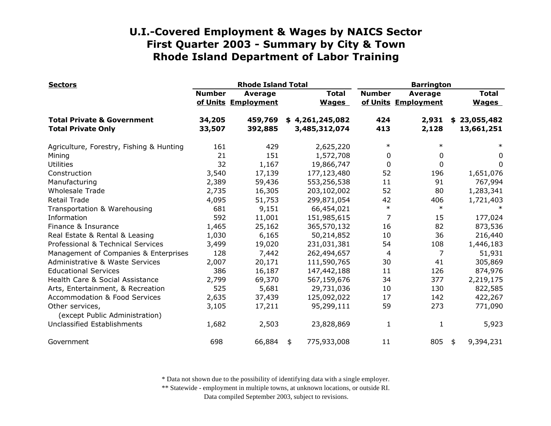| <b>Sectors</b>                                                     |                  | <b>Rhode Island Total</b>      |    | <b>Barrington</b>                |                |                                       |    |                              |
|--------------------------------------------------------------------|------------------|--------------------------------|----|----------------------------------|----------------|---------------------------------------|----|------------------------------|
|                                                                    | <b>Number</b>    | Average<br>of Units Employment |    | <b>Total</b><br><b>Wages</b>     | <b>Number</b>  | <b>Average</b><br>of Units Employment |    | <b>Total</b><br><u>Wages</u> |
| <b>Total Private &amp; Government</b><br><b>Total Private Only</b> | 34,205<br>33,507 | 459,769<br>392,885             |    | \$4,261,245,082<br>3,485,312,074 | 424<br>413     | 2,931<br>2,128                        | \$ | 23,055,482<br>13,661,251     |
| Agriculture, Forestry, Fishing & Hunting                           | 161              | 429                            |    | 2,625,220                        | $\ast$         | $\ast$                                |    | ∗                            |
| Mining                                                             | 21               | 151                            |    | 1,572,708                        | 0              | 0                                     |    | 0                            |
| <b>Utilities</b>                                                   | 32               | 1,167                          |    | 19,866,747                       | 0              | $\pmb{0}$                             |    | 0                            |
| Construction                                                       | 3,540            | 17,139                         |    | 177,123,480                      | 52             | 196                                   |    | 1,651,076                    |
| Manufacturing                                                      | 2,389            | 59,436                         |    | 553,256,538                      | 11             | 91                                    |    | 767,994                      |
| <b>Wholesale Trade</b>                                             | 2,735            | 16,305                         |    | 203,102,002                      | 52             | 80                                    |    | 1,283,341                    |
| Retail Trade                                                       | 4,095            | 51,753                         |    | 299,871,054                      | 42             | 406                                   |    | 1,721,403                    |
| Transportation & Warehousing                                       | 681              | 9,151                          |    | 66,454,021                       | $\ast$         | $\ast$                                |    | $\ast$                       |
| Information                                                        | 592              | 11,001                         |    | 151,985,615                      | $\overline{7}$ | 15                                    |    | 177,024                      |
| Finance & Insurance                                                | 1,465            | 25,162                         |    | 365,570,132                      | 16             | 82                                    |    | 873,536                      |
| Real Estate & Rental & Leasing                                     | 1,030            | 6,165                          |    | 50,214,852                       | 10             | 36                                    |    | 216,440                      |
| Professional & Technical Services                                  | 3,499            | 19,020                         |    | 231,031,381                      | 54             | 108                                   |    | 1,446,183                    |
| Management of Companies & Enterprises                              | 128              | 7,442                          |    | 262,494,657                      | 4              | 7                                     |    | 51,931                       |
| Administrative & Waste Services                                    | 2,007            | 20,171                         |    | 111,590,765                      | 30             | 41                                    |    | 305,869                      |
| <b>Educational Services</b>                                        | 386              | 16,187                         |    | 147,442,188                      | 11             | 126                                   |    | 874,976                      |
| Health Care & Social Assistance                                    | 2,799            | 69,370                         |    | 567,159,676                      | 34             | 377                                   |    | 2,219,175                    |
| Arts, Entertainment, & Recreation                                  | 525              | 5,681                          |    | 29,731,036                       | 10             | 130                                   |    | 822,585                      |
| <b>Accommodation &amp; Food Services</b>                           | 2,635            | 37,439                         |    | 125,092,022                      | 17             | 142                                   |    | 422,267                      |
| Other services,<br>(except Public Administration)                  | 3,105            | 17,211                         |    | 95,299,111                       | 59             | 273                                   |    | 771,090                      |
| Unclassified Establishments                                        | 1,682            | 2,503                          |    | 23,828,869                       | 1              | 1                                     |    | 5,923                        |
| Government                                                         | 698              | 66,884                         | \$ | 775,933,008                      | 11             | 805                                   | \$ | 9,394,231                    |

\* Data not shown due to the possibility of identifying data with a single employer.

\*\* Statewide - employment in multiple towns, at unknown locations, or outside RI.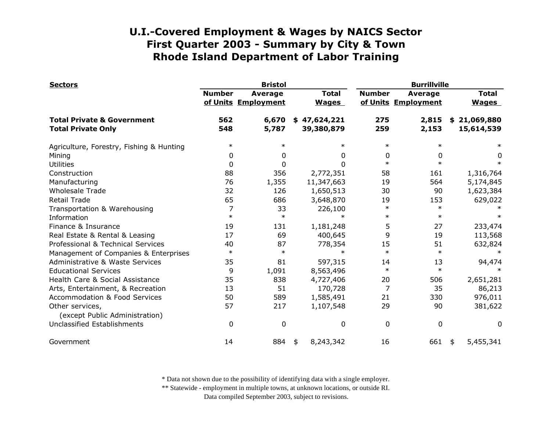| <b>Sectors</b>                                                     |                | <b>Bristol</b>                        |                              | <b>Burrillville</b> |                                       |                              |  |
|--------------------------------------------------------------------|----------------|---------------------------------------|------------------------------|---------------------|---------------------------------------|------------------------------|--|
|                                                                    | <b>Number</b>  | <b>Average</b><br>of Units Employment | <b>Total</b><br><u>Wages</u> | <b>Number</b>       | <b>Average</b><br>of Units Employment | <b>Total</b><br><b>Wages</b> |  |
| <b>Total Private &amp; Government</b><br><b>Total Private Only</b> | 562<br>548     | 6,670<br>5,787                        | \$47,624,221<br>39,380,879   | 275<br>259          | 2,815<br>2,153                        | \$21,069,880<br>15,614,539   |  |
| Agriculture, Forestry, Fishing & Hunting                           | $\ast$         | $\ast$                                | $\ast$                       | $\ast$              | $\ast$                                | $\ast$                       |  |
| Mining                                                             | 0              | 0                                     | 0                            | 0                   | 0                                     | 0                            |  |
| <b>Utilities</b>                                                   | 0              | 0                                     | 0                            | $\ast$              | $\ast$                                | $\ast$                       |  |
| Construction                                                       | 88             | 356                                   | 2,772,351                    | 58                  | 161                                   | 1,316,764                    |  |
| Manufacturing                                                      | 76             | 1,355                                 | 11,347,663                   | 19                  | 564                                   | 5,174,845                    |  |
| <b>Wholesale Trade</b>                                             | 32             | 126                                   | 1,650,513                    | 30                  | 90                                    | 1,623,384                    |  |
| <b>Retail Trade</b>                                                | 65             | 686                                   | 3,648,870                    | 19                  | 153                                   | 629,022                      |  |
| Transportation & Warehousing                                       | $\overline{7}$ | 33                                    | 226,100                      | $\ast$              | $\ast$                                |                              |  |
| Information                                                        | $\ast$         | $\ast$                                | $\ast$                       | $\ast$              | $\ast$                                | $\ast$                       |  |
| Finance & Insurance                                                | 19             | 131                                   | 1,181,248                    | 5                   | 27                                    | 233,474                      |  |
| Real Estate & Rental & Leasing                                     | 17             | 69                                    | 400,645                      | 9                   | 19                                    | 113,568                      |  |
| Professional & Technical Services                                  | 40             | 87                                    | 778,354                      | 15                  | 51                                    | 632,824                      |  |
| Management of Companies & Enterprises                              | $\ast$         | $\ast$                                | $\ast$                       | $\ast$              | $\ast$                                |                              |  |
| Administrative & Waste Services                                    | 35             | 81                                    | 597,315                      | 14                  | 13                                    | 94,474                       |  |
| <b>Educational Services</b>                                        | 9              | 1,091                                 | 8,563,496                    | $\ast$              | $\ast$                                |                              |  |
| Health Care & Social Assistance                                    | 35             | 838                                   | 4,727,406                    | 20                  | 506                                   | 2,651,281                    |  |
| Arts, Entertainment, & Recreation                                  | 13             | 51                                    | 170,728                      | 7                   | 35                                    | 86,213                       |  |
| <b>Accommodation &amp; Food Services</b>                           | 50             | 589                                   | 1,585,491                    | 21                  | 330                                   | 976,011                      |  |
| Other services,<br>(except Public Administration)                  | 57             | 217                                   | 1,107,548                    | 29                  | 90                                    | 381,622                      |  |
| <b>Unclassified Establishments</b>                                 | 0              | $\Omega$                              | 0                            | $\mathbf{0}$        | 0                                     | $\mathbf{0}$                 |  |
| Government                                                         | 14             | 884                                   | 8,243,342<br>\$              | 16                  | 661                                   | 5,455,341<br>\$              |  |

\* Data not shown due to the possibility of identifying data with a single employer.

\*\* Statewide - employment in multiple towns, at unknown locations, or outside RI.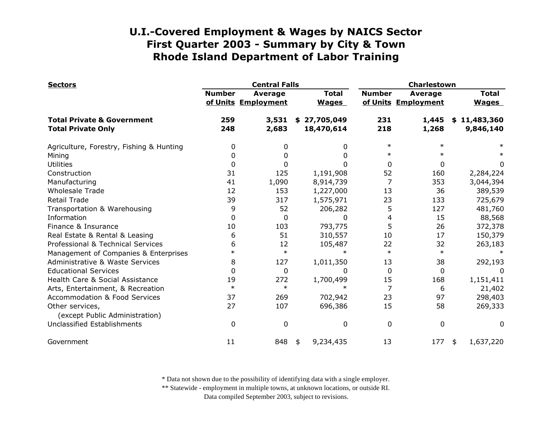| <b>Sectors</b>                                                     |               | <b>Central Falls</b>                  |                                | Charlestown   |                                       |                               |  |
|--------------------------------------------------------------------|---------------|---------------------------------------|--------------------------------|---------------|---------------------------------------|-------------------------------|--|
|                                                                    | <b>Number</b> | <b>Average</b><br>of Units Employment | <b>Total</b><br><u>Wages</u>   | <b>Number</b> | <b>Average</b><br>of Units Employment | <b>Total</b><br><u>Wages</u>  |  |
| <b>Total Private &amp; Government</b><br><b>Total Private Only</b> | 259<br>248    | 3,531<br>2,683                        | 27,705,049<br>\$<br>18,470,614 | 231<br>218    | 1,445<br>1,268                        | 11,483,360<br>\$<br>9,846,140 |  |
| Agriculture, Forestry, Fishing & Hunting                           | 0             | 0                                     | 0                              | $\ast$        | $\ast$                                |                               |  |
| Mining                                                             | 0             | 0                                     |                                | ∗             |                                       |                               |  |
| <b>Utilities</b>                                                   | 0             |                                       | O                              | 0             | 0                                     | 0                             |  |
| Construction                                                       | 31            | 125                                   | 1,191,908                      | 52            | 160                                   | 2,284,224                     |  |
| Manufacturing                                                      | 41            | 1,090                                 | 8,914,739                      | 7             | 353                                   | 3,044,394                     |  |
| <b>Wholesale Trade</b>                                             | 12            | 153                                   | 1,227,000                      | 13            | 36                                    | 389,539                       |  |
| <b>Retail Trade</b>                                                | 39            | 317                                   | 1,575,971                      | 23            | 133                                   | 725,679                       |  |
| Transportation & Warehousing                                       | 9             | 52                                    | 206,282                        | 5             | 127                                   | 481,760                       |  |
| Information                                                        | 0             | 0                                     | 0                              | 4             | 15                                    | 88,568                        |  |
| Finance & Insurance                                                | 10            | 103                                   | 793,775                        | 5             | 26                                    | 372,378                       |  |
| Real Estate & Rental & Leasing                                     | 6             | 51                                    | 310,557                        | 10            | 17                                    | 150,379                       |  |
| Professional & Technical Services                                  | 6             | 12                                    | 105,487                        | 22            | 32                                    | 263,183                       |  |
| Management of Companies & Enterprises                              | $\ast$        | $\ast$                                | $\ast$                         | $\ast$        | $\ast$                                |                               |  |
| <b>Administrative &amp; Waste Services</b>                         | 8             | 127                                   | 1,011,350                      | 13            | 38                                    | 292,193                       |  |
| <b>Educational Services</b>                                        | 0             | 0                                     | 0                              | $\Omega$      | 0                                     | 0                             |  |
| Health Care & Social Assistance                                    | 19            | 272                                   | 1,700,499                      | 15            | 168                                   | 1,151,411                     |  |
| Arts, Entertainment, & Recreation                                  | $\ast$        | $\ast$                                | $\ast$                         | 7             | 6                                     | 21,402                        |  |
| <b>Accommodation &amp; Food Services</b>                           | 37            | 269                                   | 702,942                        | 23            | 97                                    | 298,403                       |  |
| Other services,<br>(except Public Administration)                  | 27            | 107                                   | 696,386                        | 15            | 58                                    | 269,333                       |  |
| Unclassified Establishments                                        | 0             | 0                                     | 0                              | $\Omega$      | $\mathbf{0}$                          | 0                             |  |
| Government                                                         | 11            | 848                                   | 9,234,435<br>\$                | 13            | 177                                   | 1,637,220<br>\$               |  |

\* Data not shown due to the possibility of identifying data with a single employer.

\*\* Statewide - employment in multiple towns, at unknown locations, or outside RI.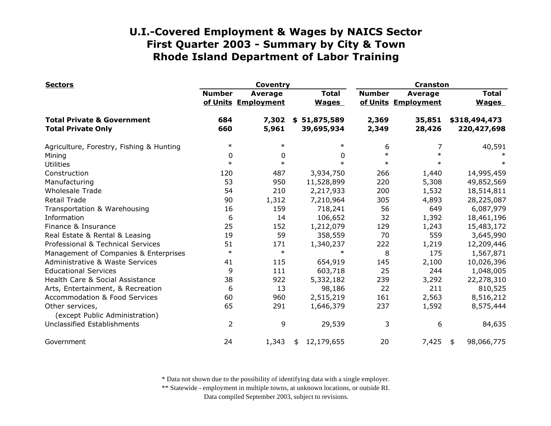| <b>Sectors</b>                                                     |               | Coventry                              |                              | <b>Cranston</b> |                                       |                              |  |  |
|--------------------------------------------------------------------|---------------|---------------------------------------|------------------------------|-----------------|---------------------------------------|------------------------------|--|--|
|                                                                    | <b>Number</b> | <b>Average</b><br>of Units Employment | <b>Total</b><br><b>Wages</b> | <b>Number</b>   | <b>Average</b><br>of Units Employment | <b>Total</b><br><b>Wages</b> |  |  |
| <b>Total Private &amp; Government</b><br><b>Total Private Only</b> | 684<br>660    | 7,302<br>5,961                        | \$51,875,589<br>39,695,934   | 2,369<br>2,349  | 35,851<br>28,426                      | \$318,494,473<br>220,427,698 |  |  |
| Agriculture, Forestry, Fishing & Hunting                           | $\ast$        | $\ast$                                | $\ast$                       | 6               | 7                                     | 40,591                       |  |  |
| Mining                                                             | 0             | 0                                     | 0                            | $\ast$          | $\ast$                                |                              |  |  |
| <b>Utilities</b>                                                   | $\ast$        | $\ast$                                | $\ast$                       | $\ast$          |                                       | ∗                            |  |  |
| Construction                                                       | 120           | 487                                   | 3,934,750                    | 266             | 1,440                                 | 14,995,459                   |  |  |
| Manufacturing                                                      | 53            | 950                                   | 11,528,899                   | 220             | 5,308                                 | 49,852,569                   |  |  |
| <b>Wholesale Trade</b>                                             | 54            | 210                                   | 2,217,933                    | 200             | 1,532                                 | 18,514,811                   |  |  |
| <b>Retail Trade</b>                                                | 90            | 1,312                                 | 7,210,964                    | 305             | 4,893                                 | 28,225,087                   |  |  |
| Transportation & Warehousing                                       | 16            | 159                                   | 718,241                      | 56              | 649                                   | 6,087,979                    |  |  |
| Information                                                        | 6             | 14                                    | 106,652                      | 32              | 1,392                                 | 18,461,196                   |  |  |
| Finance & Insurance                                                | 25            | 152                                   | 1,212,079                    | 129             | 1,243                                 | 15,483,172                   |  |  |
| Real Estate & Rental & Leasing                                     | 19            | 59                                    | 358,559                      | 70              | 559                                   | 3,645,990                    |  |  |
| Professional & Technical Services                                  | 51            | 171                                   | 1,340,237                    | 222             | 1,219                                 | 12,209,446                   |  |  |
| Management of Companies & Enterprises                              | $\ast$        | $\ast$                                | $\ast$                       | 8               | 175                                   | 1,567,871                    |  |  |
| Administrative & Waste Services                                    | 41            | 115                                   | 654,919                      | 145             | 2,100                                 | 10,026,396                   |  |  |
| <b>Educational Services</b>                                        | 9             | 111                                   | 603,718                      | 25              | 244                                   | 1,048,005                    |  |  |
| Health Care & Social Assistance                                    | 38            | 922                                   | 5,332,182                    | 239             | 3,292                                 | 22,278,310                   |  |  |
| Arts, Entertainment, & Recreation                                  | 6             | 13                                    | 98,186                       | 22              | 211                                   | 810,525                      |  |  |
| <b>Accommodation &amp; Food Services</b>                           | 60            | 960                                   | 2,515,219                    | 161             | 2,563                                 | 8,516,212                    |  |  |
| Other services,<br>(except Public Administration)                  | 65            | 291                                   | 1,646,379                    | 237             | 1,592                                 | 8,575,444                    |  |  |
| Unclassified Establishments                                        | 2             | 9                                     | 29,539                       | 3               | 6                                     | 84,635                       |  |  |
| Government                                                         | 24            | 1,343                                 | 12,179,655<br>\$             | 20              | 7,425                                 | 98,066,775<br>$\frac{4}{5}$  |  |  |

\* Data not shown due to the possibility of identifying data with a single employer.

\*\* Statewide - employment in multiple towns, at unknown locations, or outside RI.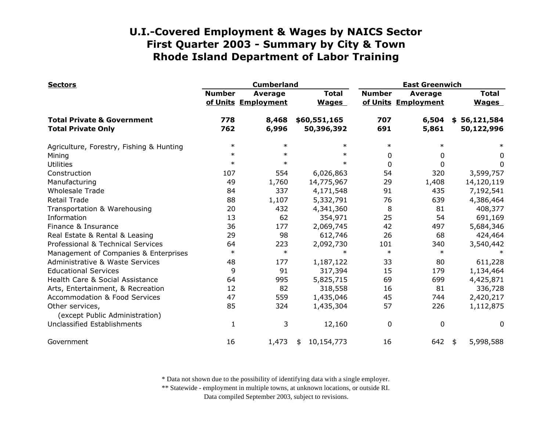| <b>Sectors</b>                                                     |               | <b>Cumberland</b>                     |                              | <b>East Greenwich</b> |                                       |                              |  |
|--------------------------------------------------------------------|---------------|---------------------------------------|------------------------------|-----------------------|---------------------------------------|------------------------------|--|
|                                                                    | <b>Number</b> | <b>Average</b><br>of Units Employment | <b>Total</b><br><b>Wages</b> | <b>Number</b>         | <b>Average</b><br>of Units Employment | <b>Total</b><br><u>Wages</u> |  |
| <b>Total Private &amp; Government</b><br><b>Total Private Only</b> | 778<br>762    | 8,468<br>6,996                        | \$60,551,165<br>50,396,392   | 707<br>691            | 6,504<br>5,861                        | \$56,121,584<br>50,122,996   |  |
| Agriculture, Forestry, Fishing & Hunting                           | $\ast$        | $\ast$                                | $\ast$                       | $\ast$                | $\ast$                                | $\ast$                       |  |
| Mining                                                             | $\ast$        | $\ast$                                | $\ast$                       | 0                     | 0                                     | 0                            |  |
| <b>Utilities</b>                                                   | $\ast$        | $\ast$                                | $\ast$                       | $\mathbf{0}$          | 0                                     | $\mathbf{0}$                 |  |
| Construction                                                       | 107           | 554                                   | 6,026,863                    | 54                    | 320                                   | 3,599,757                    |  |
| Manufacturing                                                      | 49            | 1,760                                 | 14,775,967                   | 29                    | 1,408                                 | 14,120,119                   |  |
| <b>Wholesale Trade</b>                                             | 84            | 337                                   | 4,171,548                    | 91                    | 435                                   | 7,192,541                    |  |
| <b>Retail Trade</b>                                                | 88            | 1,107                                 | 5,332,791                    | 76                    | 639                                   | 4,386,464                    |  |
| Transportation & Warehousing                                       | 20            | 432                                   | 4,341,360                    | 8                     | 81                                    | 408,377                      |  |
| Information                                                        | 13            | 62                                    | 354,971                      | 25                    | 54                                    | 691,169                      |  |
| Finance & Insurance                                                | 36            | 177                                   | 2,069,745                    | 42                    | 497                                   | 5,684,346                    |  |
| Real Estate & Rental & Leasing                                     | 29            | 98                                    | 612,746                      | 26                    | 68                                    | 424,464                      |  |
| Professional & Technical Services                                  | 64            | 223                                   | 2,092,730                    | 101                   | 340                                   | 3,540,442                    |  |
| Management of Companies & Enterprises                              | $\ast$        | $\ast$                                | $\ast$                       | $\ast$                | $\ast$                                |                              |  |
| Administrative & Waste Services                                    | 48            | 177                                   | 1,187,122                    | 33                    | 80                                    | 611,228                      |  |
| <b>Educational Services</b>                                        | 9             | 91                                    | 317,394                      | 15                    | 179                                   | 1,134,464                    |  |
| Health Care & Social Assistance                                    | 64            | 995                                   | 5,825,715                    | 69                    | 699                                   | 4,425,871                    |  |
| Arts, Entertainment, & Recreation                                  | 12            | 82                                    | 318,558                      | 16                    | 81                                    | 336,728                      |  |
| <b>Accommodation &amp; Food Services</b>                           | 47            | 559                                   | 1,435,046                    | 45                    | 744                                   | 2,420,217                    |  |
| Other services,<br>(except Public Administration)                  | 85            | 324                                   | 1,435,304                    | 57                    | 226                                   | 1,112,875                    |  |
| Unclassified Establishments                                        | 1             | 3                                     | 12,160                       | $\mathbf{0}$          | 0                                     | 0                            |  |
| Government                                                         | 16            | 1,473                                 | 10,154,773<br>\$             | 16                    | 642                                   | 5,998,588<br>\$              |  |

\* Data not shown due to the possibility of identifying data with a single employer.

\*\* Statewide - employment in multiple towns, at unknown locations, or outside RI.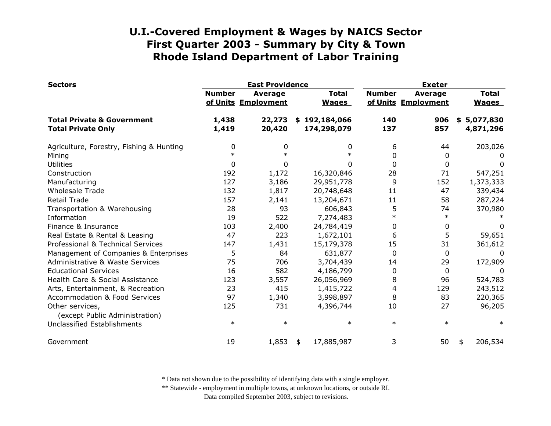| <b>Sectors</b>                                                     |                | <b>East Providence</b>                |                              | <b>Exeter</b> |                                       |                              |  |  |
|--------------------------------------------------------------------|----------------|---------------------------------------|------------------------------|---------------|---------------------------------------|------------------------------|--|--|
|                                                                    | <b>Number</b>  | <b>Average</b><br>of Units Employment | <b>Total</b><br><b>Wages</b> | <b>Number</b> | <b>Average</b><br>of Units Employment | <b>Total</b><br><u>Wages</u> |  |  |
| <b>Total Private &amp; Government</b><br><b>Total Private Only</b> | 1,438<br>1,419 | 22,273<br>20,420                      | \$192,184,066<br>174,298,079 | 140<br>137    | 906<br>857                            | \$5,077,830<br>4,871,296     |  |  |
| Agriculture, Forestry, Fishing & Hunting                           | 0              | 0                                     | 0                            | 6             | 44                                    | 203,026                      |  |  |
| Mining                                                             | $\ast$         | $\ast$                                |                              | 0             | 0                                     | 0                            |  |  |
| <b>Utilities</b>                                                   | $\mathbf 0$    | 0                                     | 0                            | 0             | 0                                     | 0                            |  |  |
| Construction                                                       | 192            | 1,172                                 | 16,320,846                   | 28            | 71                                    | 547,251                      |  |  |
| Manufacturing                                                      | 127            | 3,186                                 | 29,951,778                   | 9             | 152                                   | 1,373,333                    |  |  |
| <b>Wholesale Trade</b>                                             | 132            | 1,817                                 | 20,748,648                   | 11            | 47                                    | 339,434                      |  |  |
| <b>Retail Trade</b>                                                | 157            | 2,141                                 | 13,204,671                   | 11            | 58                                    | 287,224                      |  |  |
| Transportation & Warehousing                                       | 28             | 93                                    | 606,843                      | 5             | 74                                    | 370,980                      |  |  |
| Information                                                        | 19             | 522                                   | 7,274,483                    | $\ast$        | $\ast$                                |                              |  |  |
| Finance & Insurance                                                | 103            | 2,400                                 | 24,784,419                   | 0             | 0                                     | <sup>0</sup>                 |  |  |
| Real Estate & Rental & Leasing                                     | 47             | 223                                   | 1,672,101                    | 6             | 5                                     | 59,651                       |  |  |
| Professional & Technical Services                                  | 147            | 1,431                                 | 15,179,378                   | 15            | 31                                    | 361,612                      |  |  |
| Management of Companies & Enterprises                              | 5              | 84                                    | 631,877                      | $\Omega$      | 0                                     | $\Omega$                     |  |  |
| Administrative & Waste Services                                    | 75             | 706                                   | 3,704,439                    | 14            | 29                                    | 172,909                      |  |  |
| <b>Educational Services</b>                                        | 16             | 582                                   | 4,186,799                    | 0             | 0                                     | 0                            |  |  |
| Health Care & Social Assistance                                    | 123            | 3,557                                 | 26,056,969                   | 8             | 96                                    | 524,783                      |  |  |
| Arts, Entertainment, & Recreation                                  | 23             | 415                                   | 1,415,722                    | 4             | 129                                   | 243,512                      |  |  |
| <b>Accommodation &amp; Food Services</b>                           | 97             | 1,340                                 | 3,998,897                    | 8             | 83                                    | 220,365                      |  |  |
| Other services,<br>(except Public Administration)                  | 125            | 731                                   | 4,396,744                    | 10            | 27                                    | 96,205                       |  |  |
| Unclassified Establishments                                        | $\ast$         | $\ast$                                | $\ast$                       | $\ast$        | $\ast$                                |                              |  |  |
| Government                                                         | 19             | 1,853                                 | 17,885,987<br>\$             | 3             | 50                                    | 206,534<br>\$                |  |  |

\* Data not shown due to the possibility of identifying data with a single employer.

\*\* Statewide - employment in multiple towns, at unknown locations, or outside RI.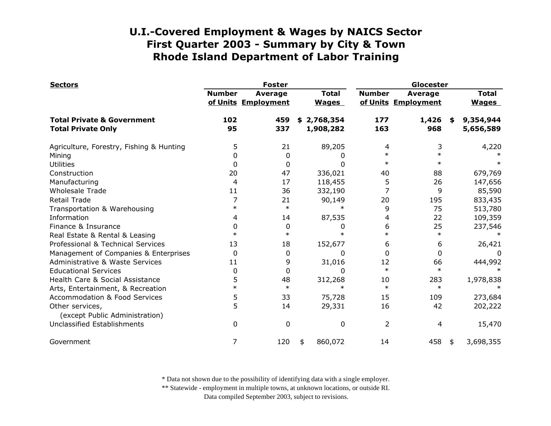| <b>Sectors</b>                                                     | <b>Foster</b>                                          |              |    |                              | Glocester      |                                       |      |                              |  |
|--------------------------------------------------------------------|--------------------------------------------------------|--------------|----|------------------------------|----------------|---------------------------------------|------|------------------------------|--|
|                                                                    | <b>Number</b><br><b>Average</b><br>of Units Employment |              |    | <b>Total</b><br><b>Wages</b> | <b>Number</b>  | <b>Average</b><br>of Units Employment |      | <b>Total</b><br><b>Wages</b> |  |
| <b>Total Private &amp; Government</b><br><b>Total Private Only</b> | 102<br>95                                              | 459<br>337   | \$ | 2,768,354<br>1,908,282       | 177<br>163     | 1,426<br>968                          | - \$ | 9,354,944<br>5,656,589       |  |
| Agriculture, Forestry, Fishing & Hunting                           | 5                                                      | 21           |    | 89,205                       | 4              | 3                                     |      | 4,220                        |  |
| Mining                                                             | 0                                                      | $\mathbf 0$  |    | 0                            | $\ast$         | $\ast$                                |      |                              |  |
| <b>Utilities</b>                                                   | 0                                                      | 0            |    | 0                            | $\ast$         | $\ast$                                |      |                              |  |
| Construction                                                       | 20                                                     | 47           |    | 336,021                      | 40             | 88                                    |      | 679,769                      |  |
| Manufacturing                                                      | 4                                                      | 17           |    | 118,455                      | 5              | 26                                    |      | 147,656                      |  |
| <b>Wholesale Trade</b>                                             | 11                                                     | 36           |    | 332,190                      | 7              | 9                                     |      | 85,590                       |  |
| <b>Retail Trade</b>                                                | 7                                                      | 21           |    | 90,149                       | 20             | 195                                   |      | 833,435                      |  |
| Transportation & Warehousing                                       | $\ast$                                                 | $\ast$       |    |                              | 9              | 75                                    |      | 513,780                      |  |
| Information                                                        |                                                        | 14           |    | 87,535                       | 4              | 22                                    |      | 109,359                      |  |
| Finance & Insurance                                                | 0                                                      | 0            |    | 0                            | 6              | 25                                    |      | 237,546                      |  |
| Real Estate & Rental & Leasing                                     | $\ast$                                                 | $\ast$       |    | $\ast$                       | $\ast$         | $\ast$                                |      |                              |  |
| Professional & Technical Services                                  | 13                                                     | 18           |    | 152,677                      | 6              | 6                                     |      | 26,421                       |  |
| Management of Companies & Enterprises                              | 0                                                      | 0            |    | 0                            | 0              | 0                                     |      | 0                            |  |
| Administrative & Waste Services                                    | 11                                                     | 9            |    | 31,016                       | 12             | 66                                    |      | 444,992                      |  |
| <b>Educational Services</b>                                        | 0                                                      | 0            |    | 0                            | $\ast$         | $\ast$                                |      |                              |  |
| Health Care & Social Assistance                                    | 5                                                      | 48           |    | 312,268                      | 10             | 283                                   |      | 1,978,838                    |  |
| Arts, Entertainment, & Recreation                                  | $\ast$                                                 | $\ast$       |    | $\ast$                       | $\ast$         | $\ast$                                |      |                              |  |
| Accommodation & Food Services                                      | 5                                                      | 33           |    | 75,728                       | 15             | 109                                   |      | 273,684                      |  |
| Other services,<br>(except Public Administration)                  | 5                                                      | 14           |    | 29,331                       | 16             | 42                                    |      | 202,222                      |  |
| Unclassified Establishments                                        | 0                                                      | $\mathbf{0}$ |    | 0                            | $\overline{2}$ | 4                                     |      | 15,470                       |  |
| Government                                                         | 7                                                      | 120          | \$ | 860,072                      | 14             | 458                                   | \$   | 3,698,355                    |  |

\* Data not shown due to the possibility of identifying data with a single employer.

\*\* Statewide - employment in multiple towns, at unknown locations, or outside RI.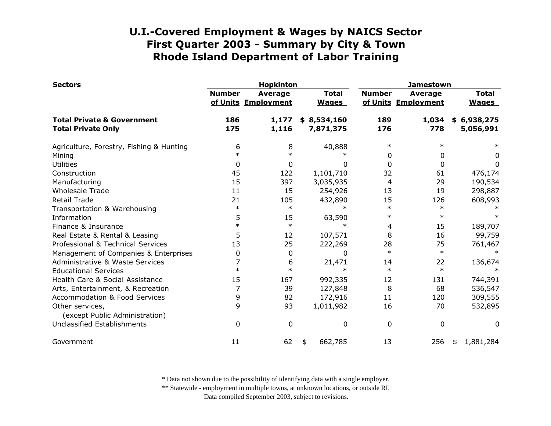| <b>Sectors</b>                                                     |                                                 | <b>Hopkinton</b> |                              | <b>Jamestown</b> |                                       |                              |  |
|--------------------------------------------------------------------|-------------------------------------------------|------------------|------------------------------|------------------|---------------------------------------|------------------------------|--|
|                                                                    | <b>Number</b><br>Average<br>of Units Employment |                  | <b>Total</b><br><b>Wages</b> | <b>Number</b>    | <b>Average</b><br>of Units Employment | <b>Total</b><br><b>Wages</b> |  |
| <b>Total Private &amp; Government</b><br><b>Total Private Only</b> | 186<br>175                                      | 1,177<br>1,116   | \$8,534,160<br>7,871,375     | 189<br>176       | 1,034<br>778                          | \$6,938,275<br>5,056,991     |  |
| Agriculture, Forestry, Fishing & Hunting                           | 6                                               | 8                | 40,888                       | $\ast$           | $\ast$                                |                              |  |
| Mining                                                             | $\ast$                                          | $\ast$           |                              | 0                | 0                                     | 0                            |  |
| <b>Utilities</b>                                                   | 0                                               | $\mathbf 0$      | 0                            | $\mathbf 0$      | $\Omega$                              | 0                            |  |
| Construction                                                       | 45                                              | 122              | 1,101,710                    | 32               | 61                                    | 476,174                      |  |
| Manufacturing                                                      | 15                                              | 397              | 3,035,935                    | 4                | 29                                    | 190,534                      |  |
| <b>Wholesale Trade</b>                                             | 11                                              | 15               | 254,926                      | 13               | 19                                    | 298,887                      |  |
| <b>Retail Trade</b>                                                | 21                                              | 105              | 432,890                      | 15               | 126                                   | 608,993                      |  |
| Transportation & Warehousing                                       | $\ast$                                          | $\ast$           | $\ast$                       | $\ast$           | $\ast$                                |                              |  |
| Information                                                        | 5                                               | 15               | 63,590                       | $\ast$           | $\ast$                                |                              |  |
| Finance & Insurance                                                | $\ast$                                          | $\ast$           | $\ast$                       | 4                | 15                                    | 189,707                      |  |
| Real Estate & Rental & Leasing                                     | 5                                               | 12               | 107,571                      | 8                | 16                                    | 99,759                       |  |
| Professional & Technical Services                                  | 13                                              | 25               | 222,269                      | 28               | 75                                    | 761,467                      |  |
| Management of Companies & Enterprises                              | 0                                               | 0                | $\Omega$                     | $\ast$           | $\ast$                                | $\ast$                       |  |
| Administrative & Waste Services                                    | 7                                               | 6                | 21,471                       | 14               | 22                                    | 136,674                      |  |
| <b>Educational Services</b>                                        | $\ast$                                          | $\ast$           | $\ast$                       | $\ast$           | $\ast$                                |                              |  |
| Health Care & Social Assistance                                    | 15                                              | 167              | 992,335                      | 12               | 131                                   | 744,391                      |  |
| Arts, Entertainment, & Recreation                                  | 7                                               | 39               | 127,848                      | 8                | 68                                    | 536,547                      |  |
| <b>Accommodation &amp; Food Services</b>                           | 9                                               | 82               | 172,916                      | 11               | 120                                   | 309,555                      |  |
| Other services,<br>(except Public Administration)                  | 9                                               | 93               | 1,011,982                    | 16               | 70                                    | 532,895                      |  |
| <b>Unclassified Establishments</b>                                 | 0                                               | 0                | $\Omega$                     | 0                | 0                                     | 0                            |  |
| Government                                                         | 11                                              | 62               | 662,785<br>\$                | 13               | 256                                   | 1,881,284<br>\$              |  |

\* Data not shown due to the possibility of identifying data with a single employer.

\*\* Statewide - employment in multiple towns, at unknown locations, or outside RI.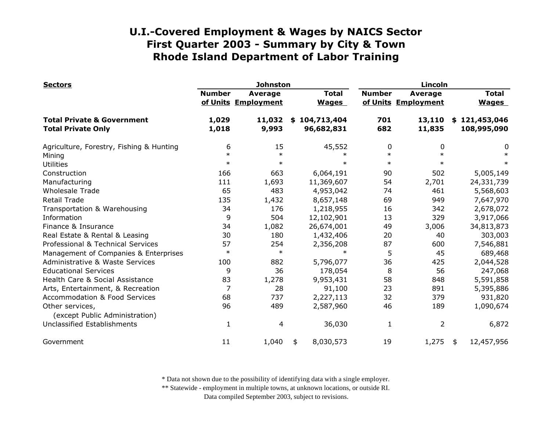| <b>Sectors</b>                                                     |                | <b>Johnston</b>                | <b>Lincoln</b>              |                              |               |                                       |    |                              |
|--------------------------------------------------------------------|----------------|--------------------------------|-----------------------------|------------------------------|---------------|---------------------------------------|----|------------------------------|
|                                                                    | <b>Number</b>  | Average<br>of Units Employment |                             | <b>Total</b><br><b>Wages</b> | <b>Number</b> | <b>Average</b><br>of Units Employment |    | <b>Total</b><br><b>Wages</b> |
| <b>Total Private &amp; Government</b><br><b>Total Private Only</b> | 1,029<br>1,018 | 11,032<br>9,993                | \$104,713,404<br>96,682,831 |                              | 701<br>682    | 13,110<br>11,835                      |    | \$121,453,046<br>108,995,090 |
| Agriculture, Forestry, Fishing & Hunting                           | 6              | 15                             |                             | 45,552                       | $\mathbf 0$   | 0                                     |    | 0                            |
| Mining                                                             | $\ast$         | $\ast$                         |                             |                              | $\ast$        | $\ast$                                |    |                              |
| <b>Utilities</b>                                                   | $\ast$         | $\ast$                         |                             | $\ast$                       | $\ast$        |                                       |    | $\ast$                       |
| Construction                                                       | 166            | 663                            |                             | 6,064,191                    | 90            | 502                                   |    | 5,005,149                    |
| Manufacturing                                                      | 111            | 1,693                          | 11,369,607                  |                              | 54            | 2,701                                 |    | 24,331,739                   |
| <b>Wholesale Trade</b>                                             | 65             | 483                            |                             | 4,953,042                    | 74            | 461                                   |    | 5,568,603                    |
| <b>Retail Trade</b>                                                | 135            | 1,432                          |                             | 8,657,148                    | 69            | 949                                   |    | 7,647,970                    |
| Transportation & Warehousing                                       | 34             | 176                            |                             | 1,218,955                    | 16            | 342                                   |    | 2,678,072                    |
| Information                                                        | 9              | 504                            | 12,102,901                  |                              | 13            | 329                                   |    | 3,917,066                    |
| Finance & Insurance                                                | 34             | 1,082                          | 26,674,001                  |                              | 49            | 3,006                                 |    | 34,813,873                   |
| Real Estate & Rental & Leasing                                     | 30             | 180                            |                             | 1,432,406                    | 20            | 40                                    |    | 303,003                      |
| Professional & Technical Services                                  | 57             | 254                            |                             | 2,356,208                    | 87            | 600                                   |    | 7,546,881                    |
| Management of Companies & Enterprises                              | $\ast$         | $\ast$                         |                             | $\ast$                       | 5             | 45                                    |    | 689,468                      |
| Administrative & Waste Services                                    | 100            | 882                            |                             | 5,796,077                    | 36            | 425                                   |    | 2,044,528                    |
| <b>Educational Services</b>                                        | 9              | 36                             |                             | 178,054                      | 8             | 56                                    |    | 247,068                      |
| Health Care & Social Assistance                                    | 83             | 1,278                          |                             | 9,953,431                    | 58            | 848                                   |    | 5,591,858                    |
| Arts, Entertainment, & Recreation                                  | $\overline{7}$ | 28                             |                             | 91,100                       | 23            | 891                                   |    | 5,395,886                    |
| <b>Accommodation &amp; Food Services</b>                           | 68             | 737                            |                             | 2,227,113                    | 32            | 379                                   |    | 931,820                      |
| Other services,<br>(except Public Administration)                  | 96             | 489                            |                             | 2,587,960                    | 46            | 189                                   |    | 1,090,674                    |
| <b>Unclassified Establishments</b>                                 | 1              | 4                              |                             | 36,030                       | $\mathbf{1}$  | 2                                     |    | 6,872                        |
| Government                                                         | 11             | 1,040                          | \$<br>8,030,573             |                              | 19            | 1,275                                 | \$ | 12,457,956                   |

\* Data not shown due to the possibility of identifying data with a single employer.

\*\* Statewide - employment in multiple towns, at unknown locations, or outside RI.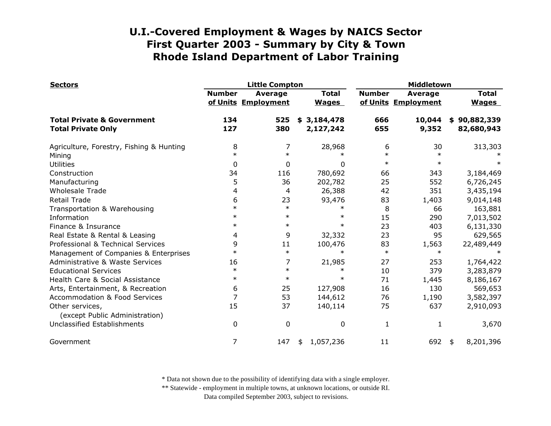| <b>Sectors</b>                                                     |                                                 | <b>Little Compton</b> |                              | <b>Middletown</b> |                                       |    |                              |
|--------------------------------------------------------------------|-------------------------------------------------|-----------------------|------------------------------|-------------------|---------------------------------------|----|------------------------------|
|                                                                    | <b>Number</b><br>Average<br>of Units Employment |                       | <b>Total</b><br><b>Wages</b> | <b>Number</b>     | <b>Average</b><br>of Units Employment |    | <b>Total</b><br><b>Wages</b> |
| <b>Total Private &amp; Government</b><br><b>Total Private Only</b> | 134<br>127                                      | 525<br>380            | \$3,184,478<br>2,127,242     | 666<br>655        | 10,044<br>9,352                       |    | \$90,882,339<br>82,680,943   |
| Agriculture, Forestry, Fishing & Hunting                           | 8                                               | 7                     | 28,968                       | 6                 | 30                                    |    | 313,303                      |
| Mining                                                             | $\ast$                                          | $\ast$                | $\ast$                       | $\ast$            | $\ast$                                |    |                              |
| <b>Utilities</b>                                                   | 0                                               | 0                     | 0                            | $\ast$            | $\ast$                                |    |                              |
| Construction                                                       | 34                                              | 116                   | 780,692                      | 66                | 343                                   |    | 3,184,469                    |
| Manufacturing                                                      | 5                                               | 36                    | 202,782                      | 25                | 552                                   |    | 6,726,245                    |
| <b>Wholesale Trade</b>                                             | 4                                               | 4                     | 26,388                       | 42                | 351                                   |    | 3,435,194                    |
| Retail Trade                                                       | 6                                               | 23                    | 93,476                       | 83                | 1,403                                 |    | 9,014,148                    |
| Transportation & Warehousing                                       | $\ast$                                          | $\ast$                | $\ast$                       | 8                 | 66                                    |    | 163,881                      |
| Information                                                        | $^\ast$                                         | $\ast$                | $\ast$                       | 15                | 290                                   |    | 7,013,502                    |
| Finance & Insurance                                                | ∗                                               | $\ast$                | $\ast$                       | 23                | 403                                   |    | 6,131,330                    |
| Real Estate & Rental & Leasing                                     | 4                                               | 9                     | 32,332                       | 23                | 95                                    |    | 629,565                      |
| Professional & Technical Services                                  | 9                                               | 11                    | 100,476                      | 83                | 1,563                                 |    | 22,489,449                   |
| Management of Companies & Enterprises                              | $\ast$                                          | $\ast$                | $\ast$                       | $\ast$            | $\ast$                                |    |                              |
| Administrative & Waste Services                                    | 16                                              | 7                     | 21,985                       | 27                | 253                                   |    | 1,764,422                    |
| <b>Educational Services</b>                                        | $\ast$                                          | $\ast$                | $\ast$                       | 10                | 379                                   |    | 3,283,879                    |
| Health Care & Social Assistance                                    | $\ast$                                          | $\ast$                | $\ast$                       | 71                | 1,445                                 |    | 8,186,167                    |
| Arts, Entertainment, & Recreation                                  | 6                                               | 25                    | 127,908                      | 16                | 130                                   |    | 569,653                      |
| Accommodation & Food Services                                      | 7                                               | 53                    | 144,612                      | 76                | 1,190                                 |    | 3,582,397                    |
| Other services,<br>(except Public Administration)                  | 15                                              | 37                    | 140,114                      | 75                | 637                                   |    | 2,910,093                    |
| Unclassified Establishments                                        | 0                                               | $\mathbf 0$           | 0                            | 1                 | 1                                     |    | 3,670                        |
| Government                                                         | 7                                               | 147                   | 1,057,236<br>\$              | 11                | 692                                   | \$ | 8,201,396                    |

\* Data not shown due to the possibility of identifying data with a single employer.

\*\* Statewide - employment in multiple towns, at unknown locations, or outside RI.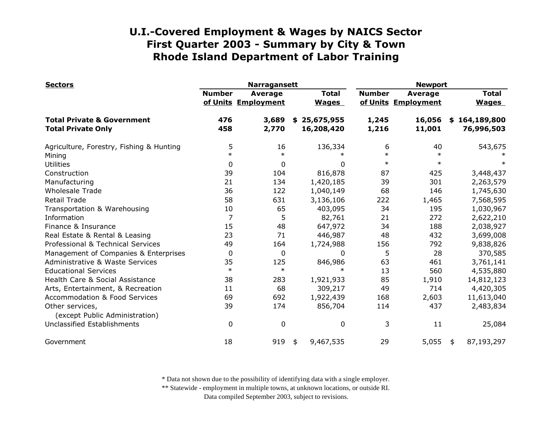| <b>Sectors</b>                                                     |               | <b>Narragansett</b>            | <b>Newport</b> |                              |                |                                       |               |                              |
|--------------------------------------------------------------------|---------------|--------------------------------|----------------|------------------------------|----------------|---------------------------------------|---------------|------------------------------|
|                                                                    | <b>Number</b> | Average<br>of Units Employment |                | <b>Total</b><br><b>Wages</b> | <b>Number</b>  | <b>Average</b><br>of Units Employment |               | <b>Total</b><br><b>Wages</b> |
| <b>Total Private &amp; Government</b><br><b>Total Private Only</b> | 476<br>458    | 3,689<br>2,770                 | \$25,675,955   | 16,208,420                   | 1,245<br>1,216 | 16,056<br>11,001                      |               | \$164,189,800<br>76,996,503  |
| Agriculture, Forestry, Fishing & Hunting                           | 5             | 16                             |                | 136,334                      | 6              | 40                                    |               | 543,675                      |
| Mining                                                             | $\ast$        | $\ast$                         |                |                              | $\ast$         |                                       |               |                              |
| <b>Utilities</b>                                                   | $\pmb{0}$     | 0                              |                | 0                            | $\ast$         | $\ast$                                |               | $\ast$                       |
| Construction                                                       | 39            | 104                            |                | 816,878                      | 87             | 425                                   |               | 3,448,437                    |
| Manufacturing                                                      | 21            | 134                            |                | 1,420,185                    | 39             | 301                                   |               | 2,263,579                    |
| <b>Wholesale Trade</b>                                             | 36            | 122                            |                | 1,040,149                    | 68             | 146                                   |               | 1,745,630                    |
| <b>Retail Trade</b>                                                | 58            | 631                            |                | 3,136,106                    | 222            | 1,465                                 |               | 7,568,595                    |
| Transportation & Warehousing                                       | 10            | 65                             |                | 403,095                      | 34             | 195                                   |               | 1,030,967                    |
| Information                                                        | 7             | 5                              |                | 82,761                       | 21             | 272                                   |               | 2,622,210                    |
| Finance & Insurance                                                | 15            | 48                             |                | 647,972                      | 34             | 188                                   |               | 2,038,927                    |
| Real Estate & Rental & Leasing                                     | 23            | 71                             |                | 446,987                      | 48             | 432                                   |               | 3,699,008                    |
| Professional & Technical Services                                  | 49            | 164                            |                | 1,724,988                    | 156            | 792                                   |               | 9,838,826                    |
| Management of Companies & Enterprises                              | $\pmb{0}$     | 0                              |                | $\Omega$                     | 5              | 28                                    |               | 370,585                      |
| Administrative & Waste Services                                    | 35            | 125                            |                | 846,986                      | 63             | 461                                   |               | 3,761,141                    |
| <b>Educational Services</b>                                        | $\ast$        | $\ast$                         |                | $\ast$                       | 13             | 560                                   |               | 4,535,880                    |
| Health Care & Social Assistance                                    | 38            | 283                            |                | 1,921,933                    | 85             | 1,910                                 |               | 14,812,123                   |
| Arts, Entertainment, & Recreation                                  | 11            | 68                             |                | 309,217                      | 49             | 714                                   |               | 4,420,305                    |
| <b>Accommodation &amp; Food Services</b>                           | 69            | 692                            |                | 1,922,439                    | 168            | 2,603                                 |               | 11,613,040                   |
| Other services,<br>(except Public Administration)                  | 39            | 174                            |                | 856,704                      | 114            | 437                                   |               | 2,483,834                    |
| <b>Unclassified Establishments</b>                                 | 0             | 0                              |                | 0                            | 3              | 11                                    |               | 25,084                       |
| Government                                                         | 18            | 919                            | \$             | 9,467,535                    | 29             | 5,055                                 | $\frac{1}{2}$ | 87,193,297                   |

\* Data not shown due to the possibility of identifying data with a single employer.

\*\* Statewide - employment in multiple towns, at unknown locations, or outside RI.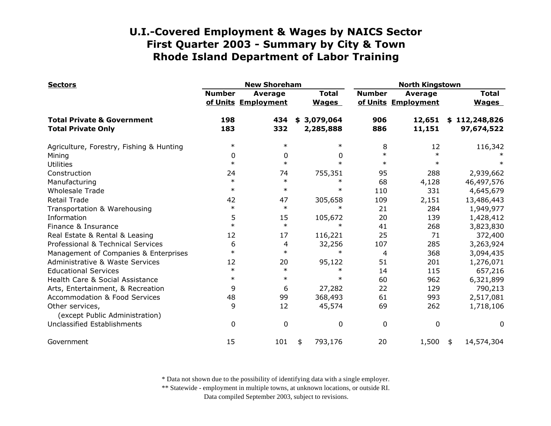| <b>Sectors</b>                                    |               | <b>New Shoreham</b>                   |                              | <b>North Kingstown</b> |                                       |    |                              |  |
|---------------------------------------------------|---------------|---------------------------------------|------------------------------|------------------------|---------------------------------------|----|------------------------------|--|
|                                                   | <b>Number</b> | <b>Average</b><br>of Units Employment | <b>Total</b><br><b>Wages</b> | <b>Number</b>          | <b>Average</b><br>of Units Employment |    | <b>Total</b><br><b>Wages</b> |  |
| <b>Total Private &amp; Government</b>             | 198           | 434                                   | \$3,079,064                  | 906                    | 12,651                                |    | \$112,248,826                |  |
| <b>Total Private Only</b>                         | 183           | 332                                   | 2,285,888                    | 886                    | 11,151                                |    | 97,674,522                   |  |
| Agriculture, Forestry, Fishing & Hunting          | $\ast$        | $\ast$                                | $\ast$                       | 8                      | 12                                    |    | 116,342                      |  |
| Mining                                            | 0             | 0                                     | 0                            | $\ast$                 | $\ast$                                |    |                              |  |
| <b>Utilities</b>                                  | $\ast$        | $\ast$                                | $\ast$                       | $\ast$                 |                                       |    |                              |  |
| Construction                                      | 24            | 74                                    | 755,351                      | 95                     | 288                                   |    | 2,939,662                    |  |
| Manufacturing                                     | $\ast$        | $\ast$                                |                              | 68                     | 4,128                                 |    | 46,497,576                   |  |
| <b>Wholesale Trade</b>                            | $\ast$        | $\ast$                                | $\ast$                       | 110                    | 331                                   |    | 4,645,679                    |  |
| Retail Trade                                      | 42            | 47                                    | 305,658                      | 109                    | 2,151                                 |    | 13,486,443                   |  |
| Transportation & Warehousing                      | $\ast$        | $\ast$                                | $\ast$                       | 21                     | 284                                   |    | 1,949,977                    |  |
| Information                                       | 5             | 15                                    | 105,672                      | 20                     | 139                                   |    | 1,428,412                    |  |
| Finance & Insurance                               | $\ast$        | $\ast$                                |                              | 41                     | 268                                   |    | 3,823,830                    |  |
| Real Estate & Rental & Leasing                    | 12            | 17                                    | 116,221                      | 25                     | 71                                    |    | 372,400                      |  |
| Professional & Technical Services                 | 6             | 4                                     | 32,256                       | 107                    | 285                                   |    | 3,263,924                    |  |
| Management of Companies & Enterprises             | $\ast$        | $\ast$                                | $\ast$                       | 4                      | 368                                   |    | 3,094,435                    |  |
| <b>Administrative &amp; Waste Services</b>        | 12            | 20                                    | 95,122                       | 51                     | 201                                   |    | 1,276,071                    |  |
| <b>Educational Services</b>                       | $\ast$        | $\ast$                                | $\ast$                       | 14                     | 115                                   |    | 657,216                      |  |
| Health Care & Social Assistance                   | $\ast$        | $\ast$                                | $\ast$                       | 60                     | 962                                   |    | 6,321,899                    |  |
| Arts, Entertainment, & Recreation                 | 9             | 6                                     | 27,282                       | 22                     | 129                                   |    | 790,213                      |  |
| <b>Accommodation &amp; Food Services</b>          | 48            | 99                                    | 368,493                      | 61                     | 993                                   |    | 2,517,081                    |  |
| Other services,<br>(except Public Administration) | 9             | 12                                    | 45,574                       | 69                     | 262                                   |    | 1,718,106                    |  |
| <b>Unclassified Establishments</b>                | $\Omega$      | 0                                     | 0                            | 0                      | 0                                     |    | 0                            |  |
| Government                                        | 15            | 101                                   | 793,176<br>\$                | 20                     | 1,500                                 | \$ | 14,574,304                   |  |

\* Data not shown due to the possibility of identifying data with a single employer.

\*\* Statewide - employment in multiple towns, at unknown locations, or outside RI.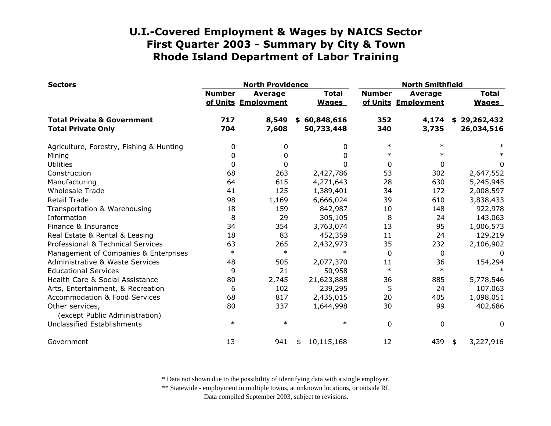| <b>Sectors</b>                                                     |               | <b>North Providence</b>               |                              | <b>North Smithfield</b> |                                       |                                |  |
|--------------------------------------------------------------------|---------------|---------------------------------------|------------------------------|-------------------------|---------------------------------------|--------------------------------|--|
|                                                                    | <b>Number</b> | <b>Average</b><br>of Units Employment | <b>Total</b><br><b>Wages</b> | <b>Number</b>           | <b>Average</b><br>of Units Employment | <b>Total</b><br><b>Wages</b>   |  |
| <b>Total Private &amp; Government</b><br><b>Total Private Only</b> | 717<br>704    | 8,549<br>7,608                        | \$60,848,616<br>50,733,448   | 352<br>340              | 4,174<br>3,735                        | 29,262,432<br>\$<br>26,034,516 |  |
| Agriculture, Forestry, Fishing & Hunting                           | 0             | 0                                     | 0                            | $\ast$                  | $\ast$                                |                                |  |
| Mining                                                             | 0             | 0                                     | 0                            | $\ast$                  | $\ast$                                | $\ast$                         |  |
| <b>Utilities</b>                                                   | $\mathbf 0$   | 0                                     | $\Omega$                     | $\Omega$                | 0                                     | 0                              |  |
| Construction                                                       | 68            | 263                                   | 2,427,786                    | 53                      | 302                                   | 2,647,552                      |  |
| Manufacturing                                                      | 64            | 615                                   | 4,271,643                    | 28                      | 630                                   | 5,245,945                      |  |
| <b>Wholesale Trade</b>                                             | 41            | 125                                   | 1,389,401                    | 34                      | 172                                   | 2,008,597                      |  |
| <b>Retail Trade</b>                                                | 98            | 1,169                                 | 6,666,024                    | 39                      | 610                                   | 3,838,433                      |  |
| Transportation & Warehousing                                       | 18            | 159                                   | 842,987                      | 10                      | 148                                   | 922,978                        |  |
| Information                                                        | 8             | 29                                    | 305,105                      | 8                       | 24                                    | 143,063                        |  |
| Finance & Insurance                                                | 34            | 354                                   | 3,763,074                    | 13                      | 95                                    | 1,006,573                      |  |
| Real Estate & Rental & Leasing                                     | 18            | 83                                    | 452,359                      | 11                      | 24                                    | 129,219                        |  |
| Professional & Technical Services                                  | 63            | 265                                   | 2,432,973                    | 35                      | 232                                   | 2,106,902                      |  |
| Management of Companies & Enterprises                              | $\ast$        | $\ast$                                | $\ast$                       | $\Omega$                | 0                                     | O                              |  |
| Administrative & Waste Services                                    | 48            | 505                                   | 2,077,370                    | 11                      | 36                                    | 154,294                        |  |
| <b>Educational Services</b>                                        | 9             | 21                                    | 50,958                       | $\ast$                  | $\ast$                                |                                |  |
| Health Care & Social Assistance                                    | 80            | 2,745                                 | 21,623,888                   | 36                      | 885                                   | 5,778,546                      |  |
| Arts, Entertainment, & Recreation                                  | 6             | 102                                   | 239,295                      | 5                       | 24                                    | 107,063                        |  |
| <b>Accommodation &amp; Food Services</b>                           | 68            | 817                                   | 2,435,015                    | 20                      | 405                                   | 1,098,051                      |  |
| Other services,<br>(except Public Administration)                  | 80            | 337                                   | 1,644,998                    | 30                      | 99                                    | 402,686                        |  |
| Unclassified Establishments                                        | $\ast$        | $\ast$                                | $\ast$                       | $\mathbf 0$             | 0                                     | 0                              |  |
| Government                                                         | 13            | 941                                   | 10,115,168<br>\$             | 12                      | 439                                   | 3,227,916<br>\$                |  |

\* Data not shown due to the possibility of identifying data with a single employer.

\*\* Statewide - employment in multiple towns, at unknown locations, or outside RI.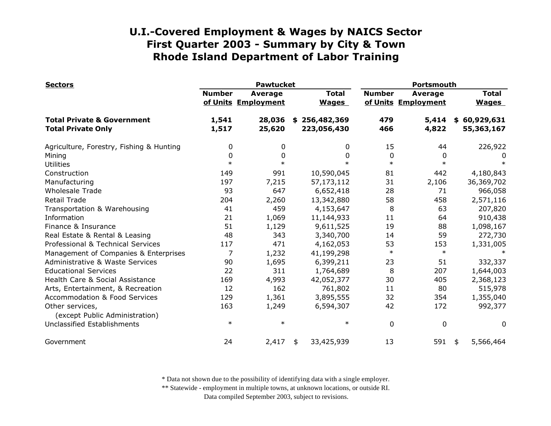| <b>Sectors</b>                                                     |                | <b>Pawtucket</b>                      |                              | Portsmouth    |                                |                              |  |
|--------------------------------------------------------------------|----------------|---------------------------------------|------------------------------|---------------|--------------------------------|------------------------------|--|
|                                                                    | <b>Number</b>  | <b>Average</b><br>of Units Employment | <b>Total</b><br><b>Wages</b> | <b>Number</b> | Average<br>of Units Employment | <b>Total</b><br><b>Wages</b> |  |
| <b>Total Private &amp; Government</b><br><b>Total Private Only</b> | 1,541<br>1,517 | 28,036<br>25,620                      | \$256,482,369<br>223,056,430 | 479<br>466    | 5,414<br>4,822                 | \$60,929,631<br>55,363,167   |  |
| Agriculture, Forestry, Fishing & Hunting                           | 0              | 0                                     | 0                            | 15            | 44                             | 226,922                      |  |
| Mining                                                             | 0              | $\mathbf{0}$                          | 0                            | 0             | 0                              | 0                            |  |
| <b>Utilities</b>                                                   | $\ast$         | $\ast$                                | $\ast$                       | $\ast$        | $\ast$                         | $\ast$                       |  |
| Construction                                                       | 149            | 991                                   | 10,590,045                   | 81            | 442                            | 4,180,843                    |  |
| Manufacturing                                                      | 197            | 7,215                                 | 57,173,112                   | 31            | 2,106                          | 36,369,702                   |  |
| <b>Wholesale Trade</b>                                             | 93             | 647                                   | 6,652,418                    | 28            | 71                             | 966,058                      |  |
| <b>Retail Trade</b>                                                | 204            | 2,260                                 | 13,342,880                   | 58            | 458                            | 2,571,116                    |  |
| Transportation & Warehousing                                       | 41             | 459                                   | 4,153,647                    | 8             | 63                             | 207,820                      |  |
| Information                                                        | 21             | 1,069                                 | 11,144,933                   | 11            | 64                             | 910,438                      |  |
| Finance & Insurance                                                | 51             | 1,129                                 | 9,611,525                    | 19            | 88                             | 1,098,167                    |  |
| Real Estate & Rental & Leasing                                     | 48             | 343                                   | 3,340,700                    | 14            | 59                             | 272,730                      |  |
| Professional & Technical Services                                  | 117            | 471                                   | 4,162,053                    | 53            | 153                            | 1,331,005                    |  |
| Management of Companies & Enterprises                              | 7              | 1,232                                 | 41,199,298                   | $\ast$        | $\ast$                         |                              |  |
| Administrative & Waste Services                                    | 90             | 1,695                                 | 6,399,211                    | 23            | 51                             | 332,337                      |  |
| <b>Educational Services</b>                                        | 22             | 311                                   | 1,764,689                    | 8             | 207                            | 1,644,003                    |  |
| Health Care & Social Assistance                                    | 169            | 4,993                                 | 42,052,377                   | 30            | 405                            | 2,368,123                    |  |
| Arts, Entertainment, & Recreation                                  | 12             | 162                                   | 761,802                      | 11            | 80                             | 515,978                      |  |
| <b>Accommodation &amp; Food Services</b>                           | 129            | 1,361                                 | 3,895,555                    | 32            | 354                            | 1,355,040                    |  |
| Other services,<br>(except Public Administration)                  | 163            | 1,249                                 | 6,594,307                    | 42            | 172                            | 992,377                      |  |
| Unclassified Establishments                                        | $\ast$         | $\ast$                                | $\ast$                       | $\Omega$      | $\mathbf 0$                    | 0                            |  |
| Government                                                         | 24             | 2,417                                 | 33,425,939<br>\$             | 13            | 591                            | 5,566,464<br>\$              |  |

\* Data not shown due to the possibility of identifying data with a single employer.

\*\* Statewide - employment in multiple towns, at unknown locations, or outside RI.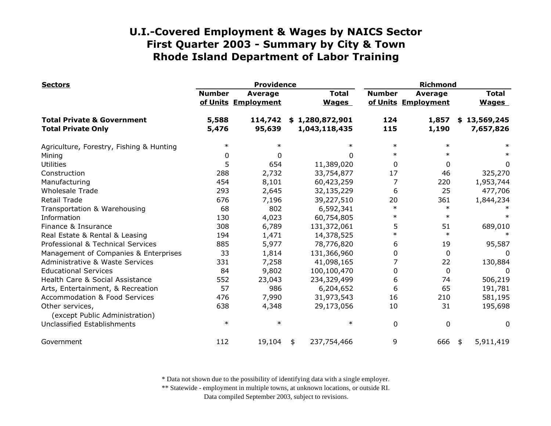| <b>Sectors</b>                                                     | <b>Providence</b>                                      |                   |    |                                  | <b>Richmond</b> |                                       |    |                              |  |
|--------------------------------------------------------------------|--------------------------------------------------------|-------------------|----|----------------------------------|-----------------|---------------------------------------|----|------------------------------|--|
|                                                                    | <b>Number</b><br><b>Average</b><br>of Units Employment |                   |    | <b>Total</b><br><b>Wages</b>     | <b>Number</b>   | <b>Average</b><br>of Units Employment |    | <b>Total</b><br><b>Wages</b> |  |
| <b>Total Private &amp; Government</b><br><b>Total Private Only</b> | 5,588<br>5,476                                         | 114,742<br>95,639 |    | \$1,280,872,901<br>1,043,118,435 | 124<br>115      | 1,857<br>1,190                        |    | \$13,569,245<br>7,657,826    |  |
| Agriculture, Forestry, Fishing & Hunting                           | ∗                                                      | $\ast$            |    | $\ast$                           | $\ast$          | $\ast$                                |    |                              |  |
| Mining                                                             | O                                                      | 0                 |    | <sup>0</sup>                     | $\ast$          |                                       |    |                              |  |
| <b>Utilities</b>                                                   | 5                                                      | 654               |    | 11,389,020                       | 0               | 0                                     |    | 0                            |  |
| Construction                                                       | 288                                                    | 2,732             |    | 33,754,877                       | 17              | 46                                    |    | 325,270                      |  |
| Manufacturing                                                      | 454                                                    | 8,101             |    | 60,423,259                       | 7               | 220                                   |    | 1,953,744                    |  |
| <b>Wholesale Trade</b>                                             | 293                                                    | 2,645             |    | 32,135,229                       | 6               | 25                                    |    | 477,706                      |  |
| <b>Retail Trade</b>                                                | 676                                                    | 7,196             |    | 39,227,510                       | 20              | 361                                   |    | 1,844,234                    |  |
| Transportation & Warehousing                                       | 68                                                     | 802               |    | 6,592,341                        | $\ast$          | $\ast$                                |    |                              |  |
| Information                                                        | 130                                                    | 4,023             |    | 60,754,805                       | $\ast$          | $\ast$                                |    |                              |  |
| Finance & Insurance                                                | 308                                                    | 6,789             |    | 131,372,061                      | 5               | 51                                    |    | 689,010                      |  |
| Real Estate & Rental & Leasing                                     | 194                                                    | 1,471             |    | 14,378,525                       | $\ast$          | $\ast$                                |    |                              |  |
| Professional & Technical Services                                  | 885                                                    | 5,977             |    | 78,776,820                       | 6               | 19                                    |    | 95,587                       |  |
| Management of Companies & Enterprises                              | 33                                                     | 1,814             |    | 131,366,960                      | $\Omega$        | $\mathbf{0}$                          |    | 0                            |  |
| Administrative & Waste Services                                    | 331                                                    | 7,258             |    | 41,098,165                       |                 | 22                                    |    | 130,884                      |  |
| <b>Educational Services</b>                                        | 84                                                     | 9,802             |    | 100,100,470                      | 0               | $\mathbf{0}$                          |    | 0                            |  |
| Health Care & Social Assistance                                    | 552                                                    | 23,043            |    | 234,329,499                      | 6               | 74                                    |    | 506,219                      |  |
| Arts, Entertainment, & Recreation                                  | 57                                                     | 986               |    | 6,204,652                        | 6               | 65                                    |    | 191,781                      |  |
| <b>Accommodation &amp; Food Services</b>                           | 476                                                    | 7,990             |    | 31,973,543                       | 16              | 210                                   |    | 581,195                      |  |
| Other services,<br>(except Public Administration)                  | 638                                                    | 4,348             |    | 29,173,056                       | 10              | 31                                    |    | 195,698                      |  |
| Unclassified Establishments                                        | $\ast$                                                 | $\ast$            |    | $\ast$                           | 0               | 0                                     |    | 0                            |  |
| Government                                                         | 112                                                    | 19,104            | \$ | 237,754,466                      | 9               | 666                                   | \$ | 5,911,419                    |  |

\* Data not shown due to the possibility of identifying data with a single employer.

\*\* Statewide - employment in multiple towns, at unknown locations, or outside RI.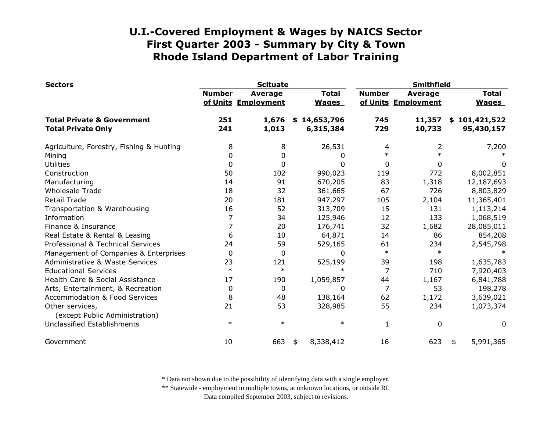| <b>Sectors</b>                                                     |               | <b>Scituate</b>                       | <b>Smithfield</b>            |               |                                       |    |                              |
|--------------------------------------------------------------------|---------------|---------------------------------------|------------------------------|---------------|---------------------------------------|----|------------------------------|
|                                                                    | <b>Number</b> | <b>Average</b><br>of Units Employment | <b>Total</b><br><b>Wages</b> | <b>Number</b> | <b>Average</b><br>of Units Employment |    | <b>Total</b><br><b>Wages</b> |
| <b>Total Private &amp; Government</b><br><b>Total Private Only</b> | 251<br>241    | 1,676<br>1,013                        | \$14,653,796<br>6,315,384    | 745<br>729    | 11,357<br>10,733                      |    | \$101,421,522<br>95,430,157  |
| Agriculture, Forestry, Fishing & Hunting                           | 8             | 8                                     | 26,531                       | 4             | 2                                     |    | 7,200                        |
| Mining                                                             | 0             | 0                                     |                              | $\ast$        |                                       |    |                              |
| Utilities                                                          | 0             | 0                                     | 0                            | 0             |                                       |    | 0                            |
| Construction                                                       | 50            | 102                                   | 990,023                      | 119           | 772                                   |    | 8,002,851                    |
| Manufacturing                                                      | 14            | 91                                    | 670,205                      | 83            | 1,318                                 |    | 12,187,693                   |
| <b>Wholesale Trade</b>                                             | 18            | 32                                    | 361,665                      | 67            | 726                                   |    | 8,803,829                    |
| Retail Trade                                                       | 20            | 181                                   | 947,297                      | 105           | 2,104                                 |    | 11,365,401                   |
| Transportation & Warehousing                                       | 16            | 52                                    | 313,709                      | 15            | 131                                   |    | 1,113,214                    |
| Information                                                        | 7             | 34                                    | 125,946                      | 12            | 133                                   |    | 1,068,519                    |
| Finance & Insurance                                                | 7             | 20                                    | 176,741                      | 32            | 1,682                                 |    | 28,085,011                   |
| Real Estate & Rental & Leasing                                     | 6             | 10                                    | 64,871                       | 14            | 86                                    |    | 854,208                      |
| Professional & Technical Services                                  | 24            | 59                                    | 529,165                      | 61            | 234                                   |    | 2,545,798                    |
| Management of Companies & Enterprises                              | 0             | 0                                     | 0                            | $\ast$        | $\ast$                                |    |                              |
| Administrative & Waste Services                                    | 23            | 121                                   | 525,199                      | 39            | 198                                   |    | 1,635,783                    |
| <b>Educational Services</b>                                        | $\ast$        | $\ast$                                | $\ast$                       | 7             | 710                                   |    | 7,920,403                    |
| Health Care & Social Assistance                                    | 17            | 190                                   | 1,059,857                    | 44            | 1,167                                 |    | 6,841,788                    |
| Arts, Entertainment, & Recreation                                  | 0             | $\mathbf{0}$                          | 0                            | 7             | 53                                    |    | 198,278                      |
| <b>Accommodation &amp; Food Services</b>                           | 8             | 48                                    | 138,164                      | 62            | 1,172                                 |    | 3,639,021                    |
| Other services,<br>(except Public Administration)                  | 21            | 53                                    | 328,985                      | 55            | 234                                   |    | 1,073,374                    |
| Unclassified Establishments                                        | $\ast$        | $\ast$                                | $\ast$                       | 1             | $\mathbf{0}$                          |    | 0                            |
| Government                                                         | 10            | 663                                   | 8,338,412<br>\$              | 16            | 623                                   | \$ | 5,991,365                    |

\* Data not shown due to the possibility of identifying data with a single employer.

\*\* Statewide - employment in multiple towns, at unknown locations, or outside RI.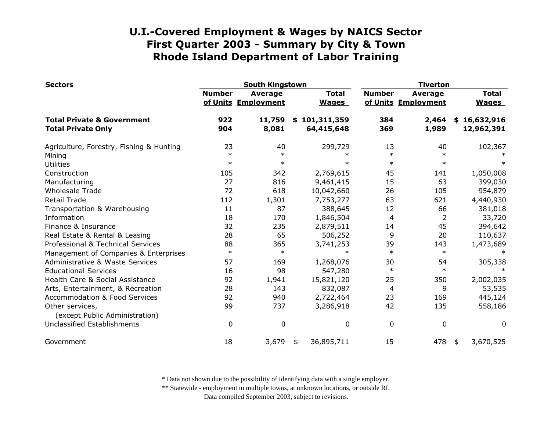| <b>Sectors</b>                                                     | <b>South Kingstown</b> |                                |                              |            | <b>Tiverton</b> |                                       |                              |                            |
|--------------------------------------------------------------------|------------------------|--------------------------------|------------------------------|------------|-----------------|---------------------------------------|------------------------------|----------------------------|
|                                                                    | <b>Number</b>          | Average<br>of Units Employment | <b>Total</b><br><b>Wages</b> |            | <b>Number</b>   | <b>Average</b><br>of Units Employment | <b>Total</b><br><u>Wages</u> |                            |
| <b>Total Private &amp; Government</b><br><b>Total Private Only</b> | 922<br>904             | 11,759<br>8,081                | \$101,311,359<br>64,415,648  |            | 384<br>369      | 2,464<br>1,989                        |                              | \$16,632,916<br>12,962,391 |
| Agriculture, Forestry, Fishing & Hunting                           | 23                     | 40                             |                              | 299,729    | 13              | 40                                    |                              | 102,367                    |
| Mining                                                             | $\ast$                 | $\ast$                         |                              |            | $\ast$          | $\ast$                                |                              |                            |
| <b>Utilities</b>                                                   | $\ast$                 | $\ast$                         |                              | $\ast$     | $\ast$          | $\ast$                                |                              | $\ast$                     |
| Construction                                                       | 105                    | 342                            |                              | 2,769,615  | 45              | 141                                   |                              | 1,050,008                  |
| Manufacturing                                                      | 27                     | 816                            |                              | 9,461,415  | 15              | 63                                    |                              | 399,030                    |
| <b>Wholesale Trade</b>                                             | 72                     | 618                            |                              | 10,042,660 | 26              | 105                                   |                              | 954,879                    |
| <b>Retail Trade</b>                                                | 112                    | 1,301                          |                              | 7,753,277  | 63              | 621                                   |                              | 4,440,930                  |
| Transportation & Warehousing                                       | 11                     | 87                             |                              | 388,645    | 12              | 66                                    |                              | 381,018                    |
| Information                                                        | 18                     | 170                            |                              | 1,846,504  | 4               | $\overline{2}$                        |                              | 33,720                     |
| Finance & Insurance                                                | 32                     | 235                            |                              | 2,879,511  | 14              | 45                                    |                              | 394,642                    |
| Real Estate & Rental & Leasing                                     | 28                     | 65                             |                              | 506,252    | 9               | 20                                    |                              | 110,637                    |
| Professional & Technical Services                                  | 88                     | 365                            |                              | 3,741,253  | 39              | 143                                   |                              | 1,473,689                  |
| Management of Companies & Enterprises                              | $\ast$                 | $\ast$                         |                              | $\ast$     | $\ast$          | $\ast$                                |                              |                            |
| Administrative & Waste Services                                    | 57                     | 169                            |                              | 1,268,076  | 30              | 54                                    |                              | 305,338                    |
| <b>Educational Services</b>                                        | 16                     | 98                             |                              | 547,280    | $\ast$          | $\ast$                                |                              |                            |
| Health Care & Social Assistance                                    | 92                     | 1,941                          |                              | 15,821,120 | 25              | 350                                   |                              | 2,002,035                  |
| Arts, Entertainment, & Recreation                                  | 28                     | 143                            |                              | 832,087    | 4               | 9                                     |                              | 53,535                     |
| <b>Accommodation &amp; Food Services</b>                           | 92                     | 940                            |                              | 2,722,464  | 23              | 169                                   |                              | 445,124                    |
| Other services,<br>(except Public Administration)                  | 99                     | 737                            |                              | 3,286,918  | 42              | 135                                   |                              | 558,186                    |
| Unclassified Establishments                                        | 0                      | $\mathbf 0$                    |                              | $\Omega$   | $\mathbf{0}$    | $\mathbf 0$                           |                              | 0                          |
| Government                                                         | 18                     | 3,679                          | \$                           | 36,895,711 | 15              | 478                                   | \$                           | 3,670,525                  |

\* Data not shown due to the possibility of identifying data with a single employer.

\*\* Statewide - employment in multiple towns, at unknown locations, or outside RI.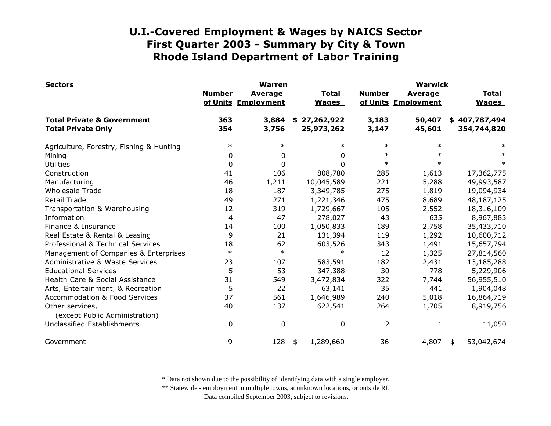| <b>Sectors</b>                                                     |                | Warren                                |                              | <b>Warwick</b> |                                       |                              |  |
|--------------------------------------------------------------------|----------------|---------------------------------------|------------------------------|----------------|---------------------------------------|------------------------------|--|
|                                                                    | <b>Number</b>  | <b>Average</b><br>of Units Employment | <b>Total</b><br><b>Wages</b> | <b>Number</b>  | <b>Average</b><br>of Units Employment | <b>Total</b><br><b>Wages</b> |  |
| <b>Total Private &amp; Government</b><br><b>Total Private Only</b> | 363<br>354     | 3,884<br>3,756                        | \$27,262,922<br>25,973,262   | 3,183<br>3,147 | 50,407<br>45,601                      | \$407,787,494<br>354,744,820 |  |
| Agriculture, Forestry, Fishing & Hunting                           | $\ast$         | $\ast$                                | $\ast$                       | $\ast$         | $\ast$                                | ∗                            |  |
| Mining                                                             | 0              | 0                                     | 0                            | $\ast$         |                                       | $\ast$                       |  |
| <b>Utilities</b>                                                   | 0              | 0                                     | 0                            | $\ast$         |                                       | $\ast$                       |  |
| Construction                                                       | 41             | 106                                   | 808,780                      | 285            | 1,613                                 | 17,362,775                   |  |
| Manufacturing                                                      | 46             | 1,211                                 | 10,045,589                   | 221            | 5,288                                 | 49,993,587                   |  |
| <b>Wholesale Trade</b>                                             | 18             | 187                                   | 3,349,785                    | 275            | 1,819                                 | 19,094,934                   |  |
| <b>Retail Trade</b>                                                | 49             | 271                                   | 1,221,346                    | 475            | 8,689                                 | 48,187,125                   |  |
| Transportation & Warehousing                                       | 12             | 319                                   | 1,729,667                    | 105            | 2,552                                 | 18,316,109                   |  |
| Information                                                        | $\overline{4}$ | 47                                    | 278,027                      | 43             | 635                                   | 8,967,883                    |  |
| Finance & Insurance                                                | 14             | 100                                   | 1,050,833                    | 189            | 2,758                                 | 35,433,710                   |  |
| Real Estate & Rental & Leasing                                     | 9              | 21                                    | 131,394                      | 119            | 1,292                                 | 10,600,712                   |  |
| Professional & Technical Services                                  | 18             | 62                                    | 603,526                      | 343            | 1,491                                 | 15,657,794                   |  |
| Management of Companies & Enterprises                              | $\ast$         | $\ast$                                | $\ast$                       | 12             | 1,325                                 | 27,814,560                   |  |
| <b>Administrative &amp; Waste Services</b>                         | 23             | 107                                   | 583,591                      | 182            | 2,431                                 | 13,185,288                   |  |
| <b>Educational Services</b>                                        | 5              | 53                                    | 347,388                      | 30             | 778                                   | 5,229,906                    |  |
| Health Care & Social Assistance                                    | 31             | 549                                   | 3,472,834                    | 322            | 7,744                                 | 56,955,510                   |  |
| Arts, Entertainment, & Recreation                                  | 5              | 22                                    | 63,141                       | 35             | 441                                   | 1,904,048                    |  |
| <b>Accommodation &amp; Food Services</b>                           | 37             | 561                                   | 1,646,989                    | 240            | 5,018                                 | 16,864,719                   |  |
| Other services,<br>(except Public Administration)                  | 40             | 137                                   | 622,541                      | 264            | 1,705                                 | 8,919,756                    |  |
| Unclassified Establishments                                        | 0              | 0                                     | 0                            | 2              | 1                                     | 11,050                       |  |
| Government                                                         | 9              | 128                                   | 1,289,660<br>\$              | 36             | 4,807                                 | 53,042,674<br>\$             |  |

\* Data not shown due to the possibility of identifying data with a single employer.

\*\* Statewide - employment in multiple towns, at unknown locations, or outside RI.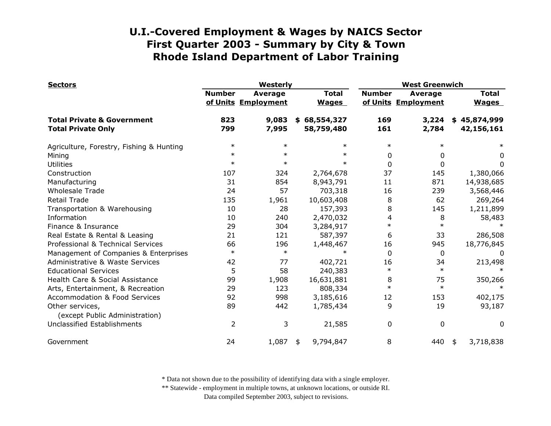| <b>Sectors</b>                                                     |                | Westerly                              |                              | <b>West Greenwich</b> |                                       |                              |  |
|--------------------------------------------------------------------|----------------|---------------------------------------|------------------------------|-----------------------|---------------------------------------|------------------------------|--|
|                                                                    | <b>Number</b>  | <b>Average</b><br>of Units Employment | <b>Total</b><br><u>Wages</u> | <b>Number</b>         | <b>Average</b><br>of Units Employment | <b>Total</b><br><b>Wages</b> |  |
| <b>Total Private &amp; Government</b><br><b>Total Private Only</b> | 823<br>799     | 9,083<br>7,995                        | \$68,554,327<br>58,759,480   | 169<br>161            | 3,224<br>2,784                        | \$45,874,999<br>42,156,161   |  |
| Agriculture, Forestry, Fishing & Hunting                           | $\ast$         | $\ast$                                | $\ast$                       | $\ast$                | $\ast$                                | ∗                            |  |
| Mining                                                             | $\ast$         | $\ast$                                | $\ast$                       | 0                     | 0                                     | 0                            |  |
| <b>Utilities</b>                                                   | $\ast$         | $\ast$                                | $\ast$                       | 0                     | 0                                     | 0                            |  |
| Construction                                                       | 107            | 324                                   | 2,764,678                    | 37                    | 145                                   | 1,380,066                    |  |
| Manufacturing                                                      | 31             | 854                                   | 8,943,791                    | 11                    | 871                                   | 14,938,685                   |  |
| <b>Wholesale Trade</b>                                             | 24             | 57                                    | 703,318                      | 16                    | 239                                   | 3,568,446                    |  |
| <b>Retail Trade</b>                                                | 135            | 1,961                                 | 10,603,408                   | 8                     | 62                                    | 269,264                      |  |
| Transportation & Warehousing                                       | 10             | 28                                    | 157,393                      | 8                     | 145                                   | 1,211,899                    |  |
| Information                                                        | 10             | 240                                   | 2,470,032                    | 4                     | 8                                     | 58,483                       |  |
| Finance & Insurance                                                | 29             | 304                                   | 3,284,917                    | $\ast$                | $\ast$                                |                              |  |
| Real Estate & Rental & Leasing                                     | 21             | 121                                   | 587,397                      | 6                     | 33                                    | 286,508                      |  |
| Professional & Technical Services                                  | 66             | 196                                   | 1,448,467                    | 16                    | 945                                   | 18,776,845                   |  |
| Management of Companies & Enterprises                              | $\ast$         | $\ast$                                | $\ast$                       | $\Omega$              | 0                                     | 0                            |  |
| <b>Administrative &amp; Waste Services</b>                         | 42             | 77                                    | 402,721                      | 16                    | 34                                    | 213,498                      |  |
| <b>Educational Services</b>                                        | 5              | 58                                    | 240,383                      | $\ast$                | $\ast$                                |                              |  |
| Health Care & Social Assistance                                    | 99             | 1,908                                 | 16,631,881                   | 8                     | 75                                    | 350,266                      |  |
| Arts, Entertainment, & Recreation                                  | 29             | 123                                   | 808,334                      | $\ast$                | $\ast$                                | $\ast$                       |  |
| <b>Accommodation &amp; Food Services</b>                           | 92             | 998                                   | 3,185,616                    | 12                    | 153                                   | 402,175                      |  |
| Other services,<br>(except Public Administration)                  | 89             | 442                                   | 1,785,434                    | 9                     | 19                                    | 93,187                       |  |
| Unclassified Establishments                                        | $\overline{2}$ | 3                                     | 21,585                       | 0                     | 0                                     | 0                            |  |
| Government                                                         | 24             | 1,087                                 | 9,794,847<br>\$              | 8                     | 440                                   | 3,718,838<br>\$              |  |

\* Data not shown due to the possibility of identifying data with a single employer.

\*\* Statewide - employment in multiple towns, at unknown locations, or outside RI.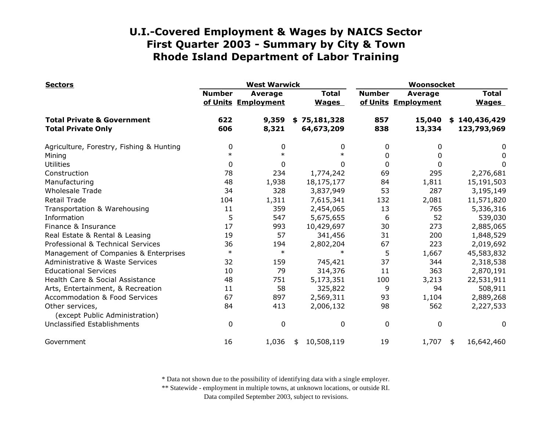| <b>Sectors</b>                                                     |               | <b>West Warwick</b>                   | Woonsocket                   |               |                                       |    |                              |
|--------------------------------------------------------------------|---------------|---------------------------------------|------------------------------|---------------|---------------------------------------|----|------------------------------|
|                                                                    | <b>Number</b> | <b>Average</b><br>of Units Employment | <b>Total</b><br><b>Wages</b> | <b>Number</b> | <b>Average</b><br>of Units Employment |    | <b>Total</b><br><b>Wages</b> |
| <b>Total Private &amp; Government</b><br><b>Total Private Only</b> | 622<br>606    | 9,359<br>8,321                        | \$75,181,328<br>64,673,209   | 857<br>838    | 15,040<br>13,334                      |    | \$140,436,429<br>123,793,969 |
| Agriculture, Forestry, Fishing & Hunting                           | 0             | 0                                     | 0                            | 0             | 0                                     |    | 0                            |
| Mining                                                             | $\ast$        | $\ast$                                | $\ast$                       | 0             |                                       |    | 0                            |
| <b>Utilities</b>                                                   | 0             | $\Omega$                              | 0                            | $\mathbf 0$   |                                       |    | 0                            |
| Construction                                                       | 78            | 234                                   | 1,774,242                    | 69            | 295                                   |    | 2,276,681                    |
| Manufacturing                                                      | 48            | 1,938                                 | 18,175,177                   | 84            | 1,811                                 |    | 15,191,503                   |
| <b>Wholesale Trade</b>                                             | 34            | 328                                   | 3,837,949                    | 53            | 287                                   |    | 3,195,149                    |
| <b>Retail Trade</b>                                                | 104           | 1,311                                 | 7,615,341                    | 132           | 2,081                                 |    | 11,571,820                   |
| Transportation & Warehousing                                       | 11            | 359                                   | 2,454,065                    | 13            | 765                                   |    | 5,336,316                    |
| Information                                                        | 5             | 547                                   | 5,675,655                    | 6             | 52                                    |    | 539,030                      |
| Finance & Insurance                                                | 17            | 993                                   | 10,429,697                   | 30            | 273                                   |    | 2,885,065                    |
| Real Estate & Rental & Leasing                                     | 19            | 57                                    | 341,456                      | 31            | 200                                   |    | 1,848,529                    |
| Professional & Technical Services                                  | 36            | 194                                   | 2,802,204                    | 67            | 223                                   |    | 2,019,692                    |
| Management of Companies & Enterprises                              | $\ast$        | $\ast$                                | $\ast$                       | 5             | 1,667                                 |    | 45,583,832                   |
| Administrative & Waste Services                                    | 32            | 159                                   | 745,421                      | 37            | 344                                   |    | 2,318,538                    |
| <b>Educational Services</b>                                        | 10            | 79                                    | 314,376                      | 11            | 363                                   |    | 2,870,191                    |
| Health Care & Social Assistance                                    | 48            | 751                                   | 5,173,351                    | 100           | 3,213                                 |    | 22,531,911                   |
| Arts, Entertainment, & Recreation                                  | 11            | 58                                    | 325,822                      | 9             | 94                                    |    | 508,911                      |
| <b>Accommodation &amp; Food Services</b>                           | 67            | 897                                   | 2,569,311                    | 93            | 1,104                                 |    | 2,889,268                    |
| Other services,<br>(except Public Administration)                  | 84            | 413                                   | 2,006,132                    | 98            | 562                                   |    | 2,227,533                    |
| Unclassified Establishments                                        | 0             | 0                                     | 0                            | 0             | $\mathbf{0}$                          |    | 0                            |
| Government                                                         | 16            | 1,036                                 | 10,508,119<br>\$             | 19            | 1,707                                 | \$ | 16,642,460                   |

\* Data not shown due to the possibility of identifying data with a single employer.

\*\* Statewide - employment in multiple towns, at unknown locations, or outside RI.